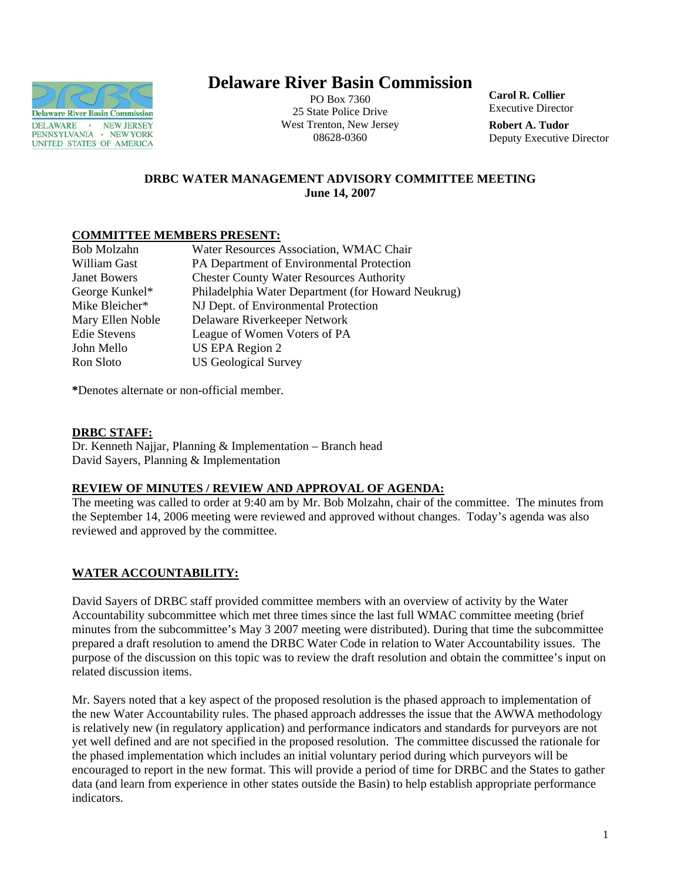

# **Delaware River Basin Commission**

PO Box 7360 25 State Police Drive West Trenton, New Jersey 08628-0360

**Carol R. Collier** Executive Director

**Robert A. Tudor**  Deputy Executive Director

# **DRBC WATER MANAGEMENT ADVISORY COMMITTEE MEETING June 14, 2007**

## **COMMITTEE MEMBERS PRESENT:**

| Bob Molzahn         | Water Resources Association, WMAC Chair            |
|---------------------|----------------------------------------------------|
| William Gast        | PA Department of Environmental Protection          |
| <b>Janet Bowers</b> | <b>Chester County Water Resources Authority</b>    |
| George Kunkel*      | Philadelphia Water Department (for Howard Neukrug) |
| Mike Bleicher*      | NJ Dept. of Environmental Protection               |
| Mary Ellen Noble    | Delaware Riverkeeper Network                       |
| <b>Edie Stevens</b> | League of Women Voters of PA                       |
| John Mello          | US EPA Region 2                                    |
| Ron Sloto           | <b>US Geological Survey</b>                        |
|                     |                                                    |

**\***Denotes alternate or non-official member.

## **DRBC STAFF:**

Dr. Kenneth Najjar, Planning & Implementation – Branch head David Sayers, Planning & Implementation

#### **REVIEW OF MINUTES / REVIEW AND APPROVAL OF AGENDA:**

The meeting was called to order at 9:40 am by Mr. Bob Molzahn, chair of the committee. The minutes from the September 14, 2006 meeting were reviewed and approved without changes. Today's agenda was also reviewed and approved by the committee.

# **WATER ACCOUNTABILITY:**

David Sayers of DRBC staff provided committee members with an overview of activity by the Water Accountability subcommittee which met three times since the last full WMAC committee meeting (brief minutes from the subcommittee's May 3 2007 meeting were distributed). During that time the subcommittee prepared a draft resolution to amend the DRBC Water Code in relation to Water Accountability issues. The purpose of the discussion on this topic was to review the draft resolution and obtain the committee's input on related discussion items.

Mr. Sayers noted that a key aspect of the proposed resolution is the phased approach to implementation of the new Water Accountability rules. The phased approach addresses the issue that the AWWA methodology is relatively new (in regulatory application) and performance indicators and standards for purveyors are not yet well defined and are not specified in the proposed resolution. The committee discussed the rationale for the phased implementation which includes an initial voluntary period during which purveyors will be encouraged to report in the new format. This will provide a period of time for DRBC and the States to gather data (and learn from experience in other states outside the Basin) to help establish appropriate performance indicators.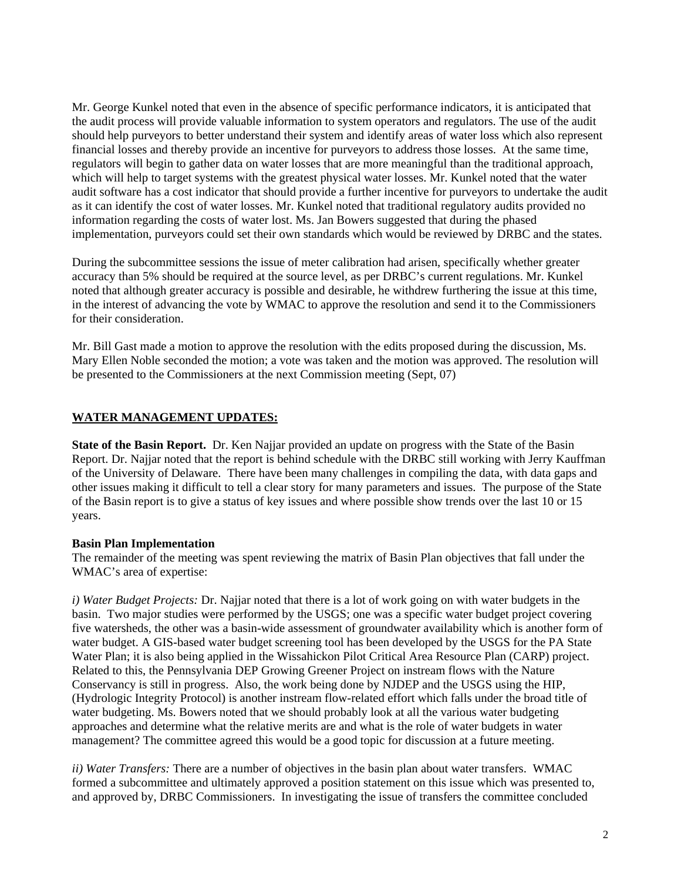Mr. George Kunkel noted that even in the absence of specific performance indicators, it is anticipated that the audit process will provide valuable information to system operators and regulators. The use of the audit should help purveyors to better understand their system and identify areas of water loss which also represent financial losses and thereby provide an incentive for purveyors to address those losses. At the same time, regulators will begin to gather data on water losses that are more meaningful than the traditional approach, which will help to target systems with the greatest physical water losses. Mr. Kunkel noted that the water audit software has a cost indicator that should provide a further incentive for purveyors to undertake the audit as it can identify the cost of water losses. Mr. Kunkel noted that traditional regulatory audits provided no information regarding the costs of water lost. Ms. Jan Bowers suggested that during the phased implementation, purveyors could set their own standards which would be reviewed by DRBC and the states.

During the subcommittee sessions the issue of meter calibration had arisen, specifically whether greater accuracy than 5% should be required at the source level, as per DRBC's current regulations. Mr. Kunkel noted that although greater accuracy is possible and desirable, he withdrew furthering the issue at this time, in the interest of advancing the vote by WMAC to approve the resolution and send it to the Commissioners for their consideration.

Mr. Bill Gast made a motion to approve the resolution with the edits proposed during the discussion, Ms. Mary Ellen Noble seconded the motion; a vote was taken and the motion was approved. The resolution will be presented to the Commissioners at the next Commission meeting (Sept, 07)

#### **WATER MANAGEMENT UPDATES:**

**State of the Basin Report.** Dr. Ken Najjar provided an update on progress with the State of the Basin Report. Dr. Najjar noted that the report is behind schedule with the DRBC still working with Jerry Kauffman of the University of Delaware. There have been many challenges in compiling the data, with data gaps and other issues making it difficult to tell a clear story for many parameters and issues. The purpose of the State of the Basin report is to give a status of key issues and where possible show trends over the last 10 or 15 years.

#### **Basin Plan Implementation**

The remainder of the meeting was spent reviewing the matrix of Basin Plan objectives that fall under the WMAC's area of expertise:

*i) Water Budget Projects:* Dr. Najjar noted that there is a lot of work going on with water budgets in the basin. Two major studies were performed by the USGS; one was a specific water budget project covering five watersheds, the other was a basin-wide assessment of groundwater availability which is another form of water budget. A GIS-based water budget screening tool has been developed by the USGS for the PA State Water Plan; it is also being applied in the Wissahickon Pilot Critical Area Resource Plan (CARP) project. Related to this, the Pennsylvania DEP Growing Greener Project on instream flows with the Nature Conservancy is still in progress. Also, the work being done by NJDEP and the USGS using the HIP, (Hydrologic Integrity Protocol) is another instream flow-related effort which falls under the broad title of water budgeting. Ms. Bowers noted that we should probably look at all the various water budgeting approaches and determine what the relative merits are and what is the role of water budgets in water management? The committee agreed this would be a good topic for discussion at a future meeting.

*ii) Water Transfers:* There are a number of objectives in the basin plan about water transfers. WMAC formed a subcommittee and ultimately approved a position statement on this issue which was presented to, and approved by, DRBC Commissioners. In investigating the issue of transfers the committee concluded